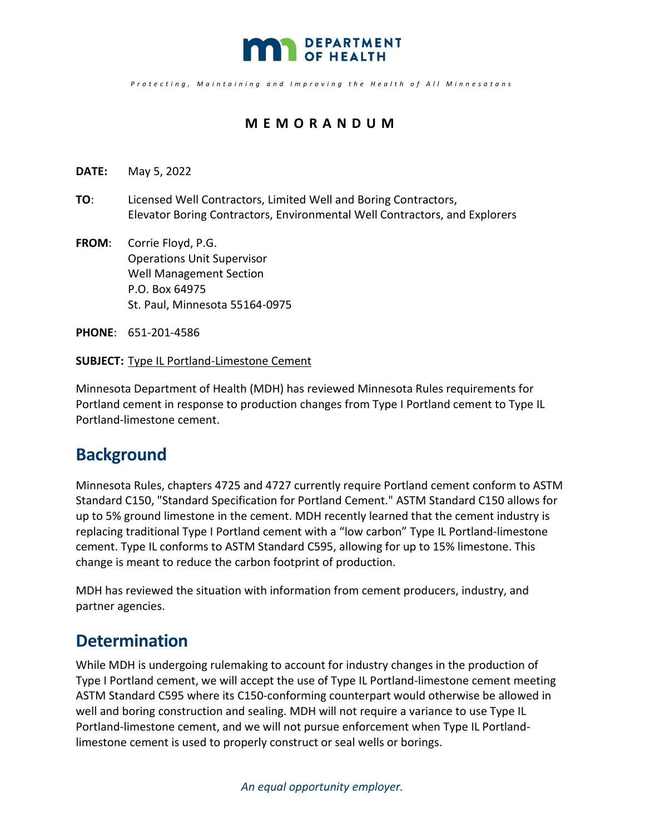

*Protecting , Maintaining and Improving the Health o f All Minnesotan s* 

## **MEMORANDUM**

- **DATE:** May 5, 2022
- **TO**: Licensed Well Contractors, Limited Well and Boring Contractors, Elevator Boring Contractors, Environmental Well Contractors, and Explorers
- **FROM**: Corrie Floyd, P.G. Operations Unit Supervisor Well Management Section P.O. Box 64975 St. Paul, Minnesota 55164-0975

**PHONE**: 651-201-4586

## **SUBJECT:** Type IL Portland-Limestone Cement

Minnesota Department of Health (MDH) has reviewed Minnesota Rules requirements for Portland cement in response to production changes from Type I Portland cement to Type IL Portland-limestone cement.

## **Background**

Minnesota Rules, chapters 4725 and 4727 currently require Portland cement conform to ASTM Standard C150, "Standard Specification for Portland Cement." ASTM Standard C150 allows for up to 5% ground limestone in the cement. MDH recently learned that the cement industry is replacing traditional Type I Portland cement with a "low carbon" Type IL Portland-limestone cement. Type IL conforms to ASTM Standard C595, allowing for up to 15% limestone. This change is meant to reduce the carbon footprint of production.

MDH has reviewed the situation with information from cement producers, industry, and partner agencies.

## **Determination**

While MDH is undergoing rulemaking to account for industry changes in the production of Type I Portland cement, we will accept the use of Type IL Portland-limestone cement meeting ASTM Standard C595 where its C150-conforming counterpart would otherwise be allowed in well and boring construction and sealing. MDH will not require a variance to use Type IL Portland-limestone cement, and we will not pursue enforcement when Type IL Portlandlimestone cement is used to properly construct or seal wells or borings.